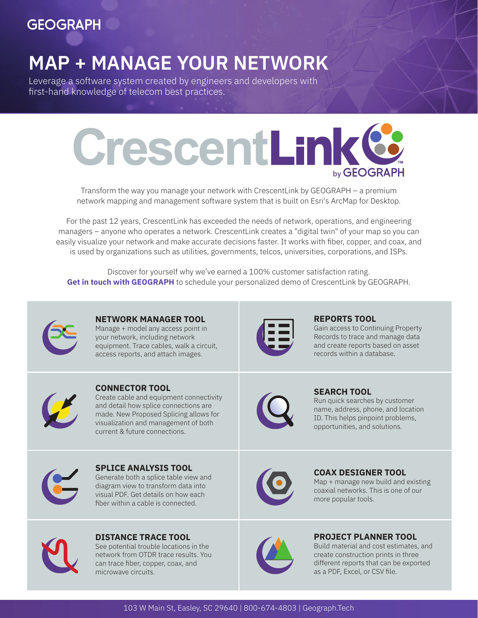## **GEOGRAPH**

# **MAP + MANAGE YOUR NETWORK**

Leverage a software system created by engineers and developers with first-hand knowledge of telecom best practices.



Transform the way you manage your network with CrescentLink by GEOGRAPH – a premium network mapping and management software system that is built on Esri's ArcMap for Desktop.

For the past 12 years, CrescentLink has exceeded the needs of network, operations, and engineering managers – anyone who operates a network. CrescentLink creates a "digital twin" of your map so you can easily visualize your network and make accurate decisions faster. It works with fiber, copper, and coax, and is used by organizations such as utilities, governments, telcos, universities, corporations, and ISPs.

Discover for yourself why we've earned a 100% customer satisfaction rating. [Get in touch with GEOGRAPH](mailto:info@geograph.tech) to schedule your personalized demo of CrescentLink by GEOGRAPH.



**NETWORK MANAGER TOOL**  Manage + model any access point in your network, including network equipment. Trace cables, walk a circuit, access reports, and attach images.



#### **REPORTS TOOL**

Gain access to Continuing Property Records to trace and manage data and create reports based on asset records within a database.



**CONNECTOR TOOL**  Create cable and equipment connectivity and detail how splice connections are made. New Proposed Splicing allows for visualization and management of both current & future connections.



**SEARCH TOOL** 

Run quick searches by customer name, address, phone, and location ID. This helps pinpoint problems, opportunities, and solutions.



**SPLICE ANALYSIS TOOL**  Generate both a splice table view and diagram view to transform data into visual PDF. Get details on how each fiber within a cable is connected.





**COAX DESIGNER TOOL** 

Map + manage new build and existing coaxial networks. This is one of our more popular tools.



#### **PROJECT PLANNER TOOL**

Build material and cost estimates, and create construction prints in three different reports that can be exported as a PDF, Excel, or CSV file.